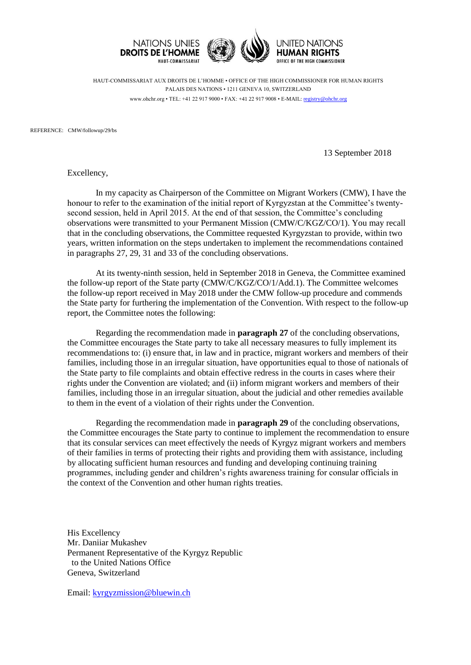

HAUT-COMMISSARIAT AUX DROITS DE L'HOMME • OFFICE OF THE HIGH COMMISSIONER FOR HUMAN RIGHTS PALAIS DES NATIONS • 1211 GENEVA 10, SWITZERLAND www.ohchr.org • TEL: +41 22 917 9000 • FAX: +41 22 917 9008 • E-MAIL: [registry@ohchr.org](mailto:registry@ohchr.org)

REFERENCE: CMW/followup/29/bs

13 September 2018

Excellency,

In my capacity as Chairperson of the Committee on Migrant Workers (CMW), I have the honour to refer to the examination of the initial report of Kyrgyzstan at the Committee's twentysecond session, held in April 2015. At the end of that session, the Committee's concluding observations were transmitted to your Permanent Mission (CMW/C/KGZ/CO/1). You may recall that in the concluding observations, the Committee requested Kyrgyzstan to provide, within two years, written information on the steps undertaken to implement the recommendations contained in paragraphs 27, 29, 31 and 33 of the concluding observations.

At its twenty-ninth session, held in September 2018 in Geneva, the Committee examined the follow-up report of the State party (CMW/C/KGZ/CO/1/Add.1). The Committee welcomes the follow-up report received in May 2018 under the CMW follow-up procedure and commends the State party for furthering the implementation of the Convention. With respect to the follow-up report, the Committee notes the following:

Regarding the recommendation made in **paragraph 27** of the concluding observations, the Committee encourages the State party to take all necessary measures to fully implement its recommendations to: (i) ensure that, in law and in practice, migrant workers and members of their families, including those in an irregular situation, have opportunities equal to those of nationals of the State party to file complaints and obtain effective redress in the courts in cases where their rights under the Convention are violated; and (ii) inform migrant workers and members of their families, including those in an irregular situation, about the judicial and other remedies available to them in the event of a violation of their rights under the Convention.

Regarding the recommendation made in **paragraph 29** of the concluding observations, the Committee encourages the State party to continue to implement the recommendation to ensure that its consular services can meet effectively the needs of Kyrgyz migrant workers and members of their families in terms of protecting their rights and providing them with assistance, including by allocating sufficient human resources and funding and developing continuing training programmes, including gender and children's rights awareness training for consular officials in the context of the Convention and other human rights treaties.

His Excellency Mr. Daniiar Mukashev Permanent Representative of the Kyrgyz Republic to the United Nations Office Geneva, Switzerland

Email: [kyrgyzmission@bluewin.ch](mailto:kyrgyzmission@bluewin.ch)